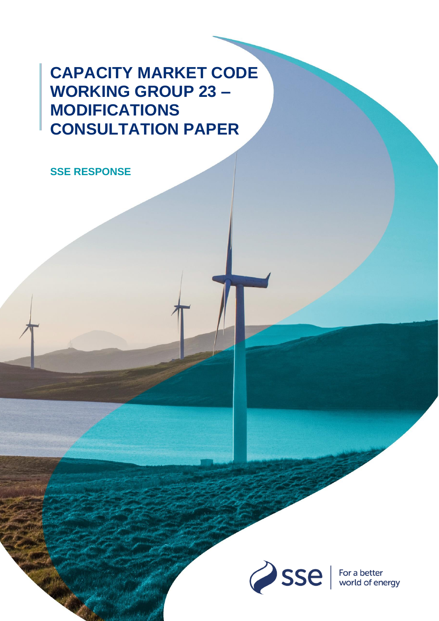# **CAPACITY MARKET CODE WORKING GROUP 23 – MODIFICATIONS CONSULTATION PAPER**

**SSE RESPONSE**

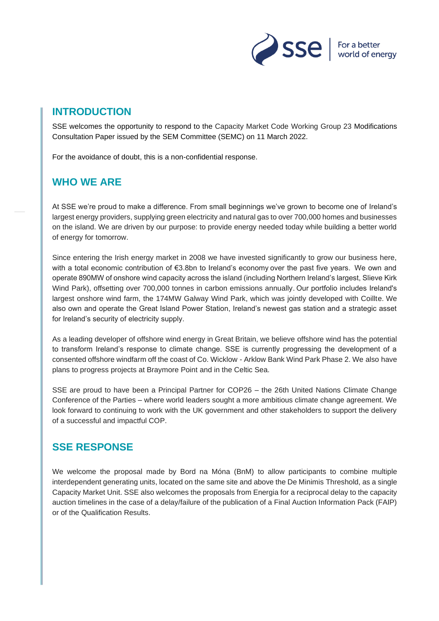

## **INTRODUCTION**

SSE welcomes the opportunity to respond to the Capacity Market Code Working Group 23 Modifications Consultation Paper issued by the SEM Committee (SEMC) on 11 March 2022.

For the avoidance of doubt, this is a non-confidential response.

## **WHO WE ARE**

At SSE we're proud to make a difference. From small beginnings we've grown to become one of Ireland's largest energy providers, supplying green electricity and natural gas to over 700,000 homes and businesses on the island. We are driven by our purpose: to provide energy needed today while building a better world of energy for tomorrow.

Since entering the Irish energy market in 2008 we have invested significantly to grow our business here, with a total economic contribution of €3.8bn to Ireland's economy over the past five years.  We own and operate 890MW of onshore wind capacity across the island (including Northern Ireland's largest, Slieve Kirk Wind Park), offsetting over 700,000 tonnes in carbon emissions annually. Our portfolio includes Ireland's largest onshore wind farm, the 174MW Galway Wind Park, which was jointly developed with Coillte. We also own and operate the Great Island Power Station, Ireland's newest gas station and a strategic asset for Ireland's security of electricity supply.

As a leading developer of offshore wind energy in Great Britain, we believe offshore wind has the potential to transform Ireland's response to climate change. SSE is currently progressing the development of a consented offshore windfarm off the coast of Co. Wicklow - Arklow Bank Wind Park Phase 2. We also have plans to progress projects at Braymore Point and in the Celtic Sea.

[SSE are proud to have been a Principal Partner for COP26 –](https://www.futurenetzero.com/sse-business-energy/) the 26th United Nations Climate Change [Conference of the Parties –](https://www.futurenetzero.com/sse-business-energy/) where world leaders sought a more ambitious climate change agreement. We look forward to continuing to work with the UK government and other stakeholders to support the delivery of a successful and impactful COP.

## **SSE RESPONSE**

We welcome the proposal made by Bord na Móna (BnM) to allow participants to combine multiple interdependent generating units, located on the same site and above the De Minimis Threshold, as a single Capacity Market Unit. SSE also welcomes the proposals from Energia for a reciprocal delay to the capacity auction timelines in the case of a delay/failure of the publication of a Final Auction Information Pack (FAIP) or of the Qualification Results.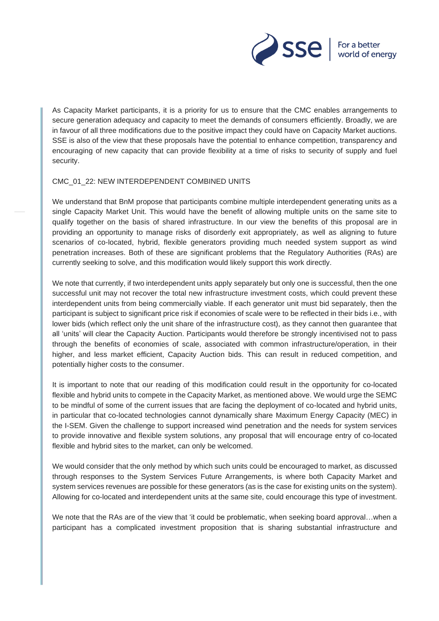

As Capacity Market participants, it is a priority for us to ensure that the CMC enables arrangements to secure generation adequacy and capacity to meet the demands of consumers efficiently. Broadly, we are in favour of all three modifications due to the positive impact they could have on Capacity Market auctions. SSE is also of the view that these proposals have the potential to enhance competition, transparency and encouraging of new capacity that can provide flexibility at a time of risks to security of supply and fuel security.

#### CMC\_01\_22: NEW INTERDEPENDENT COMBINED UNITS

We understand that BnM propose that participants combine multiple interdependent generating units as a single Capacity Market Unit. This would have the benefit of allowing multiple units on the same site to qualify together on the basis of shared infrastructure. In our view the benefits of this proposal are in providing an opportunity to manage risks of disorderly exit appropriately, as well as aligning to future scenarios of co-located, hybrid, flexible generators providing much needed system support as wind penetration increases. Both of these are significant problems that the Regulatory Authorities (RAs) are currently seeking to solve, and this modification would likely support this work directly.

We note that currently, if two interdependent units apply separately but only one is successful, then the one successful unit may not recover the total new infrastructure investment costs, which could prevent these interdependent units from being commercially viable. If each generator unit must bid separately, then the participant is subject to significant price risk if economies of scale were to be reflected in their bids i.e., with lower bids (which reflect only the unit share of the infrastructure cost), as they cannot then guarantee that all 'units' will clear the Capacity Auction. Participants would therefore be strongly incentivised not to pass through the benefits of economies of scale, associated with common infrastructure/operation, in their higher, and less market efficient, Capacity Auction bids. This can result in reduced competition, and potentially higher costs to the consumer.

It is important to note that our reading of this modification could result in the opportunity for co-located flexible and hybrid units to compete in the Capacity Market, as mentioned above. We would urge the SEMC to be mindful of some of the current issues that are facing the deployment of co-located and hybrid units, in particular that co-located technologies cannot dynamically share Maximum Energy Capacity (MEC) in the I-SEM. Given the challenge to support increased wind penetration and the needs for system services to provide innovative and flexible system solutions, any proposal that will encourage entry of co-located flexible and hybrid sites to the market, can only be welcomed.

We would consider that the only method by which such units could be encouraged to market, as discussed through responses to the System Services Future Arrangements, is where both Capacity Market and system services revenues are possible for these generators (as is the case for existing units on the system). Allowing for co-located and interdependent units at the same site, could encourage this type of investment.

We note that the RAs are of the view that 'it could be problematic, when seeking board approval...when a participant has a complicated investment proposition that is sharing substantial infrastructure and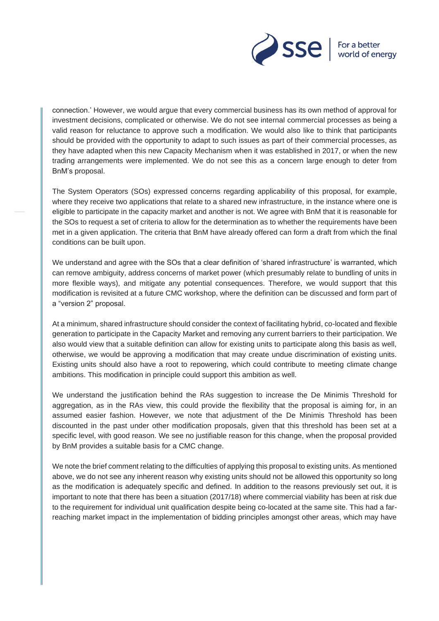

connection.' However, we would argue that every commercial business has its own method of approval for investment decisions, complicated or otherwise. We do not see internal commercial processes as being a valid reason for reluctance to approve such a modification. We would also like to think that participants should be provided with the opportunity to adapt to such issues as part of their commercial processes, as they have adapted when this new Capacity Mechanism when it was established in 2017, or when the new trading arrangements were implemented. We do not see this as a concern large enough to deter from BnM's proposal.

The System Operators (SOs) expressed concerns regarding applicability of this proposal, for example, where they receive two applications that relate to a shared new infrastructure, in the instance where one is eligible to participate in the capacity market and another is not. We agree with BnM that it is reasonable for the SOs to request a set of criteria to allow for the determination as to whether the requirements have been met in a given application. The criteria that BnM have already offered can form a draft from which the final conditions can be built upon.

We understand and agree with the SOs that a clear definition of 'shared infrastructure' is warranted, which can remove ambiguity, address concerns of market power (which presumably relate to bundling of units in more flexible ways), and mitigate any potential consequences. Therefore, we would support that this modification is revisited at a future CMC workshop, where the definition can be discussed and form part of a "version 2" proposal.

At a minimum, shared infrastructure should consider the context of facilitating hybrid, co-located and flexible generation to participate in the Capacity Market and removing any current barriers to their participation. We also would view that a suitable definition can allow for existing units to participate along this basis as well, otherwise, we would be approving a modification that may create undue discrimination of existing units. Existing units should also have a root to repowering, which could contribute to meeting climate change ambitions. This modification in principle could support this ambition as well.

We understand the justification behind the RAs suggestion to increase the De Minimis Threshold for aggregation, as in the RAs view, this could provide the flexibility that the proposal is aiming for, in an assumed easier fashion. However, we note that adjustment of the De Minimis Threshold has been discounted in the past under other modification proposals, given that this threshold has been set at a specific level, with good reason. We see no justifiable reason for this change, when the proposal provided by BnM provides a suitable basis for a CMC change.

We note the brief comment relating to the difficulties of applying this proposal to existing units. As mentioned above, we do not see any inherent reason why existing units should not be allowed this opportunity so long as the modification is adequately specific and defined. In addition to the reasons previously set out, it is important to note that there has been a situation (2017/18) where commercial viability has been at risk due to the requirement for individual unit qualification despite being co-located at the same site. This had a farreaching market impact in the implementation of bidding principles amongst other areas, which may have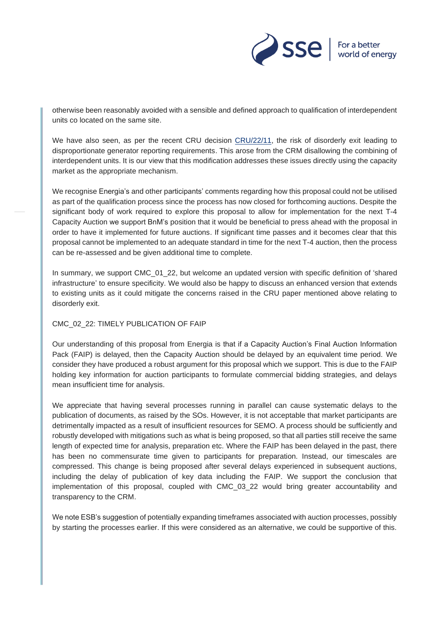

otherwise been reasonably avoided with a sensible and defined approach to qualification of interdependent units co located on the same site.

We have also seen, as per the recent CRU decision [CRU/22/11,](https://www.cru.ie/wp-content/uploads/2022/02/CRU202211-CRU-Generator-Financial-Reporting-Decision-Paper.pdf) the risk of disorderly exit leading to disproportionate generator reporting requirements. This arose from the CRM disallowing the combining of interdependent units. It is our view that this modification addresses these issues directly using the capacity market as the appropriate mechanism.

We recognise Energia's and other participants' comments regarding how this proposal could not be utilised as part of the qualification process since the process has now closed for forthcoming auctions. Despite the significant body of work required to explore this proposal to allow for implementation for the next T-4 Capacity Auction we support BnM's position that it would be beneficial to press ahead with the proposal in order to have it implemented for future auctions. If significant time passes and it becomes clear that this proposal cannot be implemented to an adequate standard in time for the next T-4 auction, then the process can be re-assessed and be given additional time to complete.

In summary, we support CMC 01 22, but welcome an updated version with specific definition of 'shared infrastructure' to ensure specificity. We would also be happy to discuss an enhanced version that extends to existing units as it could mitigate the concerns raised in the CRU paper mentioned above relating to disorderly exit.

#### CMC\_02\_22: TIMELY PUBLICATION OF FAIP

Our understanding of this proposal from Energia is that if a Capacity Auction's Final Auction Information Pack (FAIP) is delayed, then the Capacity Auction should be delayed by an equivalent time period. We consider they have produced a robust argument for this proposal which we support. This is due to the FAIP holding key information for auction participants to formulate commercial bidding strategies, and delays mean insufficient time for analysis.

We appreciate that having several processes running in parallel can cause systematic delays to the publication of documents, as raised by the SOs. However, it is not acceptable that market participants are detrimentally impacted as a result of insufficient resources for SEMO. A process should be sufficiently and robustly developed with mitigations such as what is being proposed, so that all parties still receive the same length of expected time for analysis, preparation etc. Where the FAIP has been delayed in the past, there has been no commensurate time given to participants for preparation. Instead, our timescales are compressed. This change is being proposed after several delays experienced in subsequent auctions, including the delay of publication of key data including the FAIP. We support the conclusion that implementation of this proposal, coupled with CMC\_03\_22 would bring greater accountability and transparency to the CRM.

We note ESB's suggestion of potentially expanding timeframes associated with auction processes, possibly by starting the processes earlier. If this were considered as an alternative, we could be supportive of this.